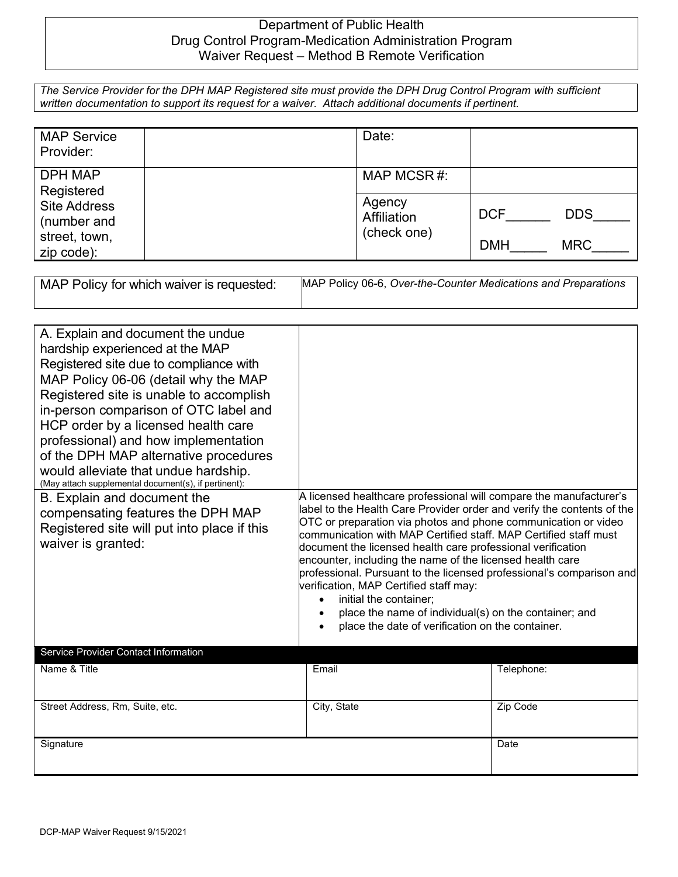## Department of Public Health Drug Control Program-Medication Administration Program Waiver Request – Method B Remote Verification

*The Service Provider for the DPH MAP Registered site must provide the DPH Drug Control Program with sufficient written documentation to support its request for a waiver. Attach additional documents if pertinent.*

| <b>MAP Service</b><br>Provider:                                                                   |                                      | Date:                    |  |
|---------------------------------------------------------------------------------------------------|--------------------------------------|--------------------------|--|
| <b>DPH MAP</b><br>Registered<br><b>Site Address</b><br>(number and<br>street, town,<br>zip code): |                                      | MAP MCSR#:               |  |
|                                                                                                   | Agency<br>Affiliation<br>(check one) | <b>DCF</b><br><b>DDS</b> |  |
|                                                                                                   |                                      | <b>MRC</b><br><b>DMH</b> |  |

| MAP Policy for which waiver is requested: | MAP Policy 06-6, Over-the-Counter Medications and Preparations |
|-------------------------------------------|----------------------------------------------------------------|
|                                           |                                                                |

| A. Explain and document the undue<br>hardship experienced at the MAP<br>Registered site due to compliance with<br>MAP Policy 06-06 (detail why the MAP<br>Registered site is unable to accomplish<br>in-person comparison of OTC label and<br>HCP order by a licensed health care<br>professional) and how implementation<br>of the DPH MAP alternative procedures<br>would alleviate that undue hardship.<br>(May attach supplemental document(s), if pertinent): |                                                                                                                                                                                                                                                                                                                                                                                                                                                                                                                                                                                                                                                                                      |            |
|--------------------------------------------------------------------------------------------------------------------------------------------------------------------------------------------------------------------------------------------------------------------------------------------------------------------------------------------------------------------------------------------------------------------------------------------------------------------|--------------------------------------------------------------------------------------------------------------------------------------------------------------------------------------------------------------------------------------------------------------------------------------------------------------------------------------------------------------------------------------------------------------------------------------------------------------------------------------------------------------------------------------------------------------------------------------------------------------------------------------------------------------------------------------|------------|
| B. Explain and document the<br>compensating features the DPH MAP<br>Registered site will put into place if this<br>waiver is granted:                                                                                                                                                                                                                                                                                                                              | A licensed healthcare professional will compare the manufacturer's<br>label to the Health Care Provider order and verify the contents of the<br>OTC or preparation via photos and phone communication or video<br>communication with MAP Certified staff. MAP Certified staff must<br>document the licensed health care professional verification<br>encounter, including the name of the licensed health care<br>professional. Pursuant to the licensed professional's comparison and<br>verification, MAP Certified staff may:<br>initial the container;<br>$\bullet$<br>place the name of individual(s) on the container; and<br>place the date of verification on the container. |            |
| Service Provider Contact Information                                                                                                                                                                                                                                                                                                                                                                                                                               |                                                                                                                                                                                                                                                                                                                                                                                                                                                                                                                                                                                                                                                                                      |            |
| Name & Title                                                                                                                                                                                                                                                                                                                                                                                                                                                       | Email                                                                                                                                                                                                                                                                                                                                                                                                                                                                                                                                                                                                                                                                                | Telephone: |
| Street Address, Rm, Suite, etc.                                                                                                                                                                                                                                                                                                                                                                                                                                    | City, State                                                                                                                                                                                                                                                                                                                                                                                                                                                                                                                                                                                                                                                                          | Zip Code   |
| Signature                                                                                                                                                                                                                                                                                                                                                                                                                                                          |                                                                                                                                                                                                                                                                                                                                                                                                                                                                                                                                                                                                                                                                                      | Date       |